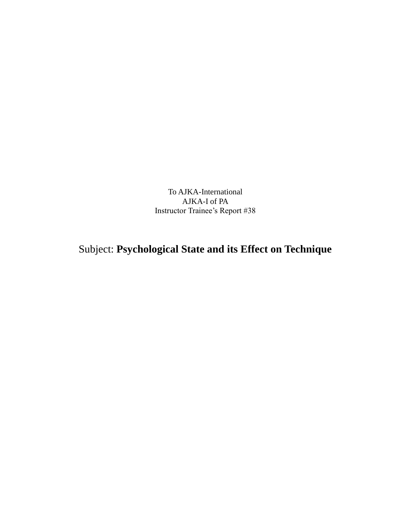To AJKA-International AJKA-I of PA Instructor Trainee's Report #38

## Subject: **Psychological State and its Effect on Technique**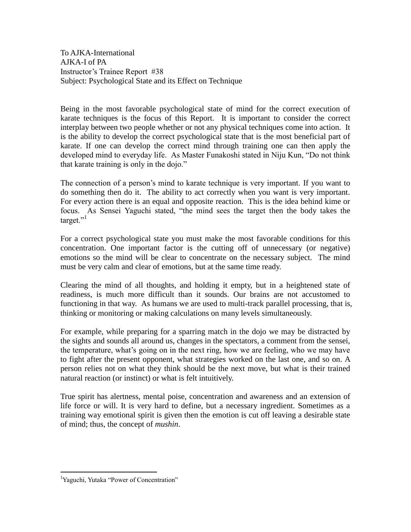To AJKA-International AJKA-I of PA Instructor's Trainee Report #38 Subject: Psychological State and its Effect on Technique

Being in the most favorable psychological state of mind for the correct execution of karate techniques is the focus of this Report. It is important to consider the correct interplay between two people whether or not any physical techniques come into action. It is the ability to develop the correct psychological state that is the most beneficial part of karate. If one can develop the correct mind through training one can then apply the developed mind to everyday life. As Master Funakoshi stated in Niju Kun, "Do not think that karate training is only in the dojo."

The connection of a person's mind to karate technique is very important. If you want to do something then do it. The ability to act correctly when you want is very important. For every action there is an equal and opposite reaction. This is the idea behind kime or focus. As Sensei Yaguchi stated, "the mind sees the target then the body takes the target."<sup>1</sup>

For a correct psychological state you must make the most favorable conditions for this concentration. One important factor is the cutting off of unnecessary (or negative) emotions so the mind will be clear to concentrate on the necessary subject. The mind must be very calm and clear of emotions, but at the same time ready.

Clearing the mind of all thoughts, and holding it empty, but in a heightened state of readiness, is much more difficult than it sounds. Our brains are not accustomed to functioning in that way. As humans we are used to multi-track parallel processing, that is, thinking or monitoring or making calculations on many levels simultaneously.

For example, while preparing for a sparring match in the dojo we may be distracted by the sights and sounds all around us, changes in the spectators, a comment from the sensei, the temperature, what's going on in the next ring, how we are feeling, who we may have to fight after the present opponent, what strategies worked on the last one, and so on. A person relies not on what they think should be the next move, but what is their trained natural reaction (or instinct) or what is felt intuitively.

True spirit has alertness, mental poise, concentration and awareness and an extension of life force or will. It is very hard to define, but a necessary ingredient. Sometimes as a training way emotional spirit is given then the emotion is cut off leaving a desirable state of mind; thus, the concept of *mushin*.

 $\overline{a}$ 

<sup>&</sup>lt;sup>1</sup>Yaguchi, Yutaka "Power of Concentration"